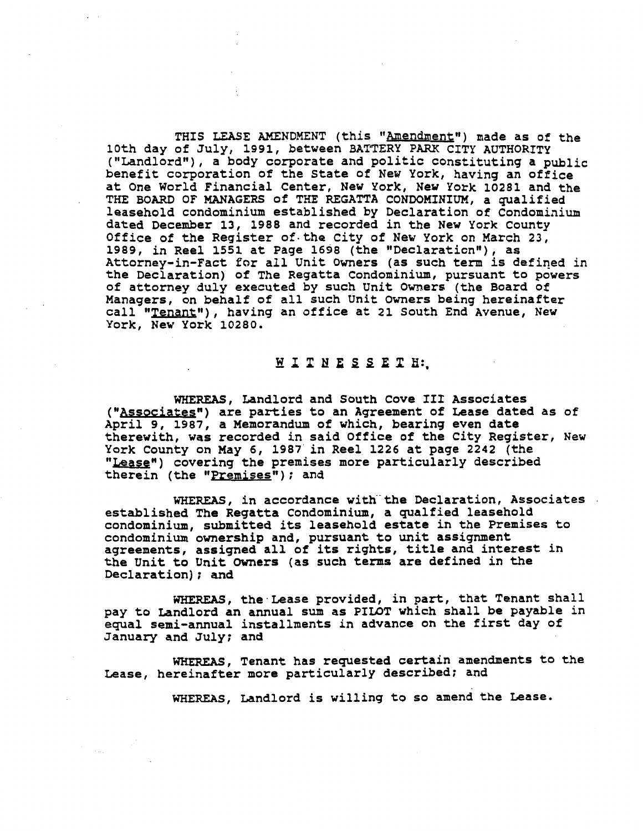THIS LEASE AMENDMENT (this "Amendment") made as of the **10th day of July, 1991, between BATTERY PARK CITY AUTHORITY**  ("Landlord"), a body corporate and politic constituting a public **benefit corporation of the State of New York, having an office at One World Financial Center, New York, New York 10281 and the THE BOARD OF MANAGERS of THE REGATTA CONDOMINIUM, a qualified leasehold condominium established by Declaration of Condominium dated December 13, 1988 and recorded in the New York County Office of the Register of-the City of New York on March 23,**  1989, in Reel 1551 at Page 1698 (the "Declaration"), as **Attorney-in-Fact** for **all Unit Owners (as such term is defined in the Declaration) of The Regatta Condominium, pursuant to powers of attorney duly executed by such Unit Owners (the Board of Managers, on behalf of all such Unit Owners being hereinafter call "Tenant\*\*), having an office at 21 South End Avenue, New York, New York 10280.** 

## MITNESSETH:

**WHEREAS, Landlord and South Cove I11 Associates ("Associategn) are parties to an Agreement of Lease dated as of April 9, 1987, a Memorandum of which, bearing even date therewith, was recorded in said Office of the City Register, New York County on May 6, 1987 in Reel 1226 at page 2242 (the 'Lease"**) covering the premises more particularly described  $\text{therein (the "Premises")}$ ; and

WHEREAS, in accordance with the Declaration, Associates **established The Regatta Condominium, a qualfied leasehold condominium, submitted its leasehold estate in the Premises to condominium ownership and, pursuant to unit assignment agreements, assigned all of its rights, title and interest in the Unit to Unit Owners (as such terms are defined in the Declaration)** ; **and** 

WHEREAS, **the.Lease provided, in part, that Tenant shall pay to Landlord an annual sum as PILOT which shall be payable in equal semi-annual installments in advance on the first day of January and July; and** 

**WHEREAS, Tenant has requested certain amendments to the Lease, hereinafter more particularly described; and** 

**WHEREAS, Landlord is willing to so amend the Lease.**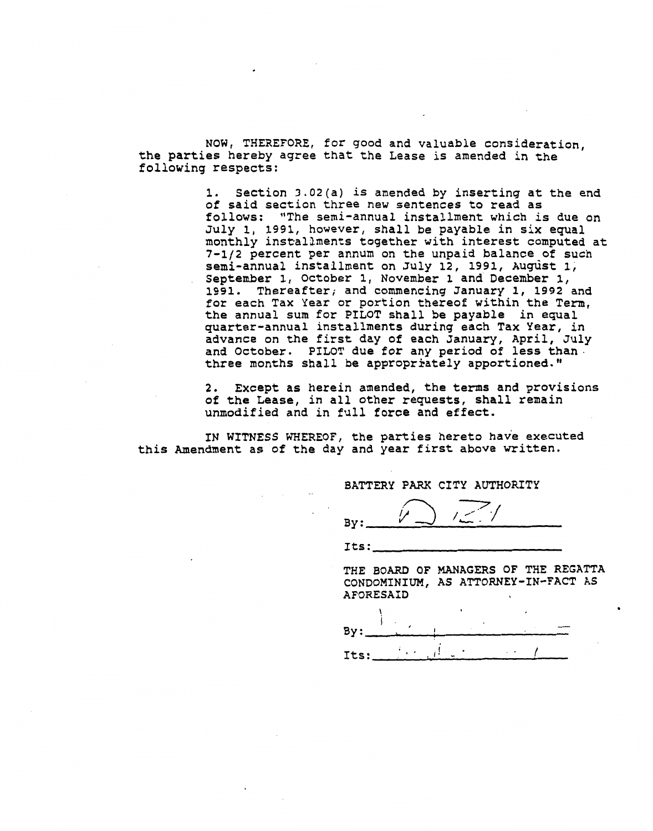NOW, THEREFORE, for good and valuable consideration, the parties hereby agree that the Lease is amended in the following respects:

> 1. Section 3.02(a) is amended by inserting at the end of said section three new sentences to read as follows: "The semi-annual installment which is due on July 1, 1991, however, shall be payable in six equal monthly instalzments together with interest computed at 7-1/2 percent per annum on the unpaid balance of such semi-annual installment on July 12, 1991, August 1, September 1, October 1, November 1 and December 1, 1991. Thereafter, and commencing January 1, 1992 and for each Tax Year or portion thereof within the Term, the annual sum for PILOT shall be payable in equal quarter-annual installments during each Tax Year, in advance on the first day of each January, April, July and October. PILOT due for any period of less than. three months shall be appropriately apportioned."

2. Except **as** herein amended, the terms and provisions of the Lease, in all other requests, shall remain unmodified and in full force and effect.

IN WITNESS WHEREOF, the parties hereto have executed this Amendment **as** of the day and year first above written.

. .

BATTERY **PARK** CITY AUTHORITY

**By:** 

Its:

THE BOARD OF MANAGERS OF THE REGATTA CONDOMINIUM, AS ATTORNEY-IN-FACT AS AFORESAID

\ . I., By: I - Its: \*,. **I** . , **i-** - ,\* <sup>t</sup>